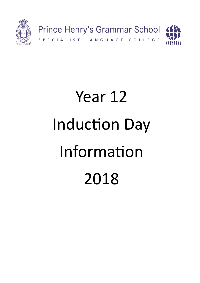

# Year 12 Induction Day Information 2018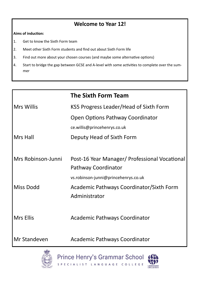## **Welcome to Year 12!**

#### **Aims of induction:**

- 1. Get to know the Sixth Form team
- 2. Meet other Sixth Form students and find out about Sixth Form life
- 3. Find out more about your chosen courses (and maybe some alternative options)
- 4. Start to bridge the gap between GCSE and A-level with some activities to complete over the summer

|                    | <b>The Sixth Form Team</b>                    |  |
|--------------------|-----------------------------------------------|--|
| Mrs Willis         | KS5 Progress Leader/Head of Sixth Form        |  |
|                    | Open Options Pathway Coordinator              |  |
|                    | ce.willis@princehenrys.co.uk                  |  |
| Mrs Hall           | Deputy Head of Sixth Form                     |  |
|                    |                                               |  |
| Mrs Robinson-Junni | Post-16 Year Manager/ Professional Vocational |  |
|                    | Pathway Coordinator                           |  |
|                    | vs.robinson-junni@princehenrys.co.uk          |  |
| <b>Miss Dodd</b>   | Academic Pathways Coordinator/Sixth Form      |  |
|                    | Administrator                                 |  |
|                    |                                               |  |
| Mrs Ellis          | <b>Academic Pathways Coordinator</b>          |  |
|                    |                                               |  |
| Mr Standeven       | Academic Pathways Coordinator                 |  |



Prince Henry's Grammar School SPECIALIST LANGUAGE COLLEGE

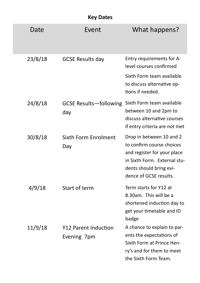|  | <b>Key Dates</b> |
|--|------------------|
|--|------------------|

|         | <b>NEY DALES</b>                     |                                                                                                                                                                           |
|---------|--------------------------------------|---------------------------------------------------------------------------------------------------------------------------------------------------------------------------|
| Date    | Event                                | What happens?                                                                                                                                                             |
| 23/8/18 | <b>GCSE Results day</b>              | Entry requirements for A-<br>level courses confirmed<br>Sixth Form team available<br>to discuss alternative op-<br>tions if needed.                                       |
| 24/8/18 | <b>GCSE Results-following</b><br>day | Sixth Form team available<br>between 10 and 2pm to<br>discuss alternative courses<br>if entry criteria are not met                                                        |
| 30/8/18 | Sixth Form Enrolment<br>Day          | Drop in between 10 and 2<br>to confirm course choices<br>and register for your place<br>in Sixth Form. External stu-<br>dents should bring evi-<br>dence of GCSE results. |
| 4/9/18  | Start of term                        | Term starts for Y12 at<br>8.30am. This will be a<br>shortened induction day to<br>get your timetable and ID<br>badge                                                      |
| 11/9/18 | Y12 Parent Induction<br>Evening 7pm  | A chance to explain to par-<br>ents the expectations of<br>Sixth Form at Prince Hen-<br>ry's and for them to meet<br>the Sixth Form Team.                                 |